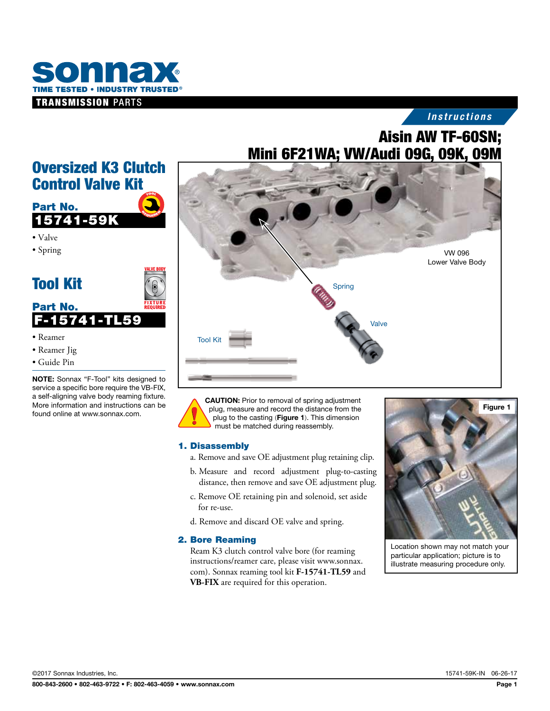

## *Instructions*

# Aisin AW TF-60SN; Mini 6F21WA; VW/Audi 09G, 09K, 09M



CAUTION: Prior to removal of spring adjustment plug, measure and record the distance from the plug to the casting (Figure 1). This dimension must be matched during reassembly.

#### 1. Disassembly

- a. Remove and save OE adjustment plug retaining clip.
- b. Measure and record adjustment plug-to-casting distance, then remove and save OE adjustment plug.
- c. Remove OE retaining pin and solenoid, set aside for re-use.
- d. Remove and discard OE valve and spring.

#### 2. Bore Reaming

Ream K3 clutch control valve bore (for reaming instructions/reamer care, please visit www.sonnax. com). Sonnax reaming tool kit **F-15741-TL59** and **VB-FIX** are required for this operation.



Location shown may not match your particular application; picture is to illustrate measuring procedure only.

## Oversized K3 Clutch Control Valve Kit



• Spring



- Reamer
- Reamer Jig
- Guide Pin

NOTE: Sonnax "F-Tool" kits designed to service a specific bore require the VB-FIX, a self-aligning valve body reaming fixture. More information and instructions can be found online at www.sonnax.com.